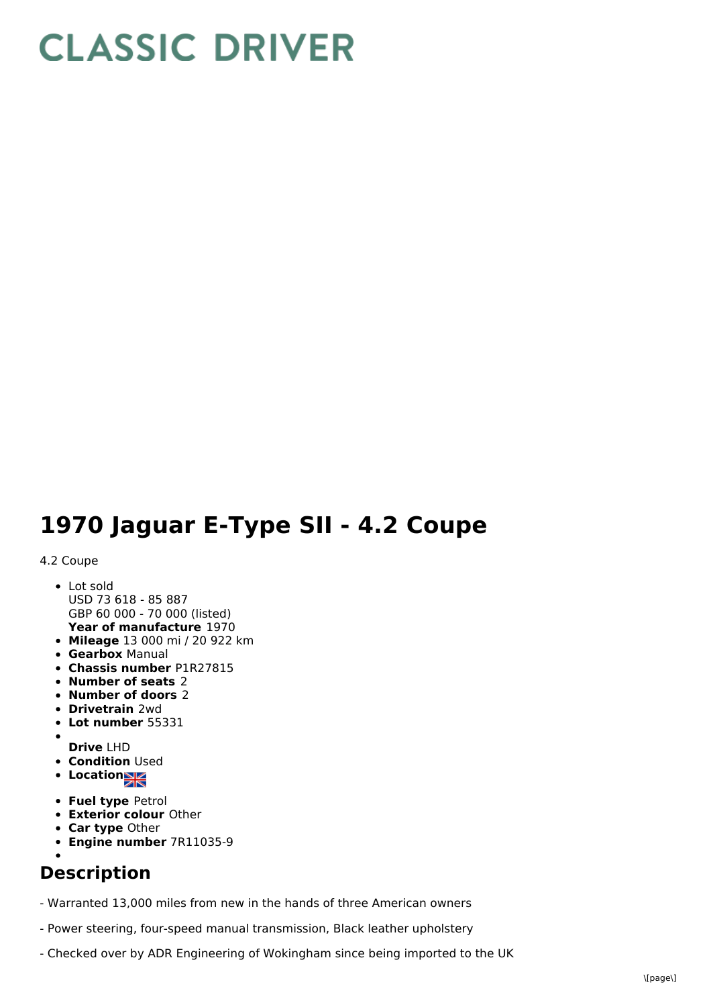# **CLASSIC DRIVER**

## **1970 Jaguar E-Type SII - 4.2 Coupe**

### 4.2 Coupe

- **Year of manufacture** 1970 • Lot sold USD 73 618 - 85 887 GBP 60 000 - 70 000 (listed)
- **Mileage** 13 000 mi / 20 922 km
- **Gearbox** Manual
- **Chassis number** P1R27815
- **Number of seats** 2
- **Number of doors** 2
- **Drivetrain** 2wd
- **Lot number** 55331
- **Drive** LHD
- **Condition Used**
- **Location**
- **Fuel type** Petrol
- **Exterior colour** Other
- **Car type** Other
- **Engine number** 7R11035-9

### **Description**

- Warranted 13,000 miles from new in the hands of three American owners

- Power steering, four-speed manual transmission, Black leather upholstery
- Checked over by ADR Engineering of Wokingham since being imported to the UK